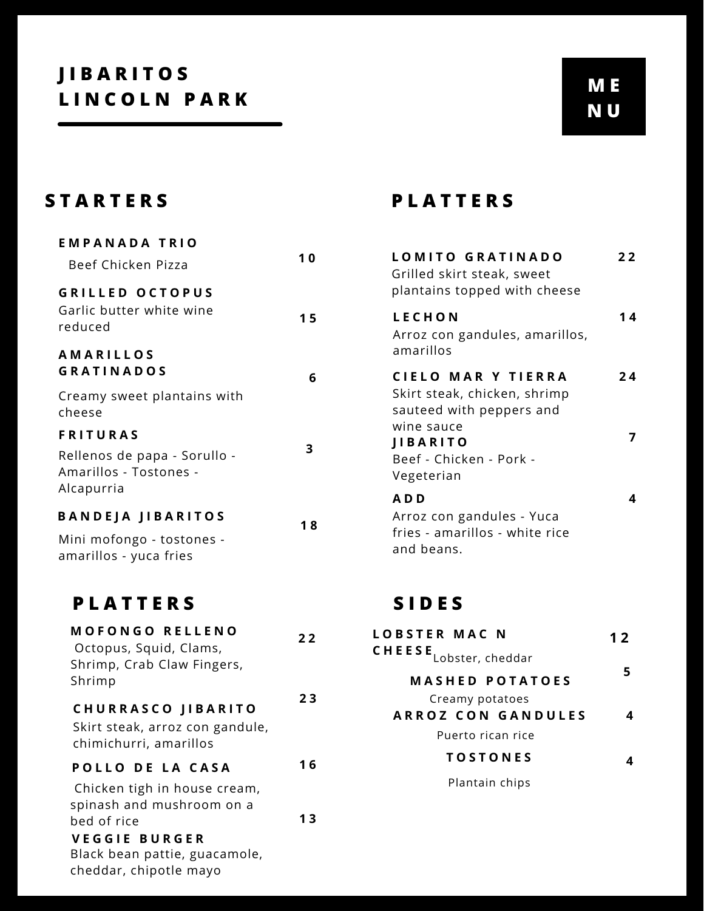| <b>EMPANADA TRIO</b><br>Beef Chicken Pizza                                              | 10 |
|-----------------------------------------------------------------------------------------|----|
| <b>GRILLED OCTOPUS</b><br>Garlic butter white wine<br>reduced                           | 15 |
| <b>AMARILLOS</b><br><b>GRATINADOS</b>                                                   | 6  |
| Creamy sweet plantains with<br>cheese                                                   |    |
| <b>FRITURAS</b><br>Rellenos de papa - Sorullo -<br>Amarillos - Tostones -<br>Alcapurria | 3  |
| <b>BANDEJA JIBARITOS</b><br>Mini mofongo - tostones -<br>amarillos - yuca fries         | 18 |
| PLATTERS                                                                                |    |

| <b>MOFONGO RELLENO</b><br>Octopus, Squid, Clams,<br>Shrimp, Crab Claw Fingers,<br>Shrimp       | 22  |
|------------------------------------------------------------------------------------------------|-----|
| <b>CHURRASCO JIBARITO</b><br>Skirt steak, arroz con gandule,<br>chimichurri, amarillos         | 23  |
| POLLO DE LA CASA<br>Chicken tigh in house cream,<br>spinash and mushroom on a                  | 1 6 |
| bed of rice<br><b>VEGGIE BURGER</b><br>Black bean pattie, guacamole,<br>cheddar, chipotle mayo | 13  |

# **S T A R T E R S P L A T T E R S**

| LOMITO GRATINADO<br>Grilled skirt steak, sweet<br>plantains topped with cheese | 22 |
|--------------------------------------------------------------------------------|----|
| <b>LECHON</b><br>Arroz con gandules, amarillos,<br>amarillos                   | 14 |
| CIELO MAR Y TIERRA<br>Skirt steak, chicken, shrimp<br>sauteed with peppers and | 24 |
| wine sauce<br><b>JIBARITO</b><br>Beef - Chicken - Pork -<br>Vegeterian         |    |
| ADD<br>Arroz con gandules - Yuca<br>fries - amarillos - white rice             |    |

## **S I D E S**

and beans.

| LOBSTER MAC N<br>$CHEESE$ <sub>Lobster, cheddar</sub> | 12 |
|-------------------------------------------------------|----|
|                                                       |    |
| <b>MASHED POTATOES</b>                                |    |
| Creamy potatoes                                       |    |
| <b>ARROZ CON GANDULES</b>                             |    |
| Puerto rican rice                                     |    |
| <b>TOSTONES</b>                                       |    |
|                                                       |    |

Plantain chips